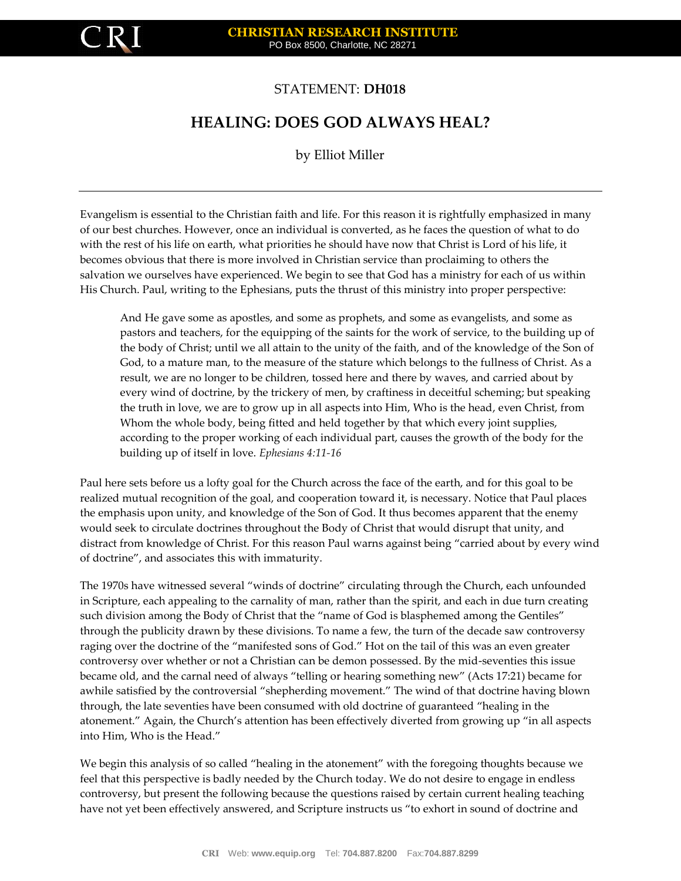

## STATEMENT: **DH018**

# **HEALING: DOES GOD ALWAYS HEAL?**

by Elliot Miller

Evangelism is essential to the Christian faith and life. For this reason it is rightfully emphasized in many of our best churches. However, once an individual is converted, as he faces the question of what to do with the rest of his life on earth, what priorities he should have now that Christ is Lord of his life, it becomes obvious that there is more involved in Christian service than proclaiming to others the salvation we ourselves have experienced. We begin to see that God has a ministry for each of us within His Church. Paul, writing to the Ephesians, puts the thrust of this ministry into proper perspective:

And He gave some as apostles, and some as prophets, and some as evangelists, and some as pastors and teachers, for the equipping of the saints for the work of service, to the building up of the body of Christ; until we all attain to the unity of the faith, and of the knowledge of the Son of God, to a mature man, to the measure of the stature which belongs to the fullness of Christ. As a result, we are no longer to be children, tossed here and there by waves, and carried about by every wind of doctrine, by the trickery of men, by craftiness in deceitful scheming; but speaking the truth in love, we are to grow up in all aspects into Him, Who is the head, even Christ, from Whom the whole body, being fitted and held together by that which every joint supplies, according to the proper working of each individual part, causes the growth of the body for the building up of itself in love. *Ephesians 4:11-16*

Paul here sets before us a lofty goal for the Church across the face of the earth, and for this goal to be realized mutual recognition of the goal, and cooperation toward it, is necessary. Notice that Paul places the emphasis upon unity, and knowledge of the Son of God. It thus becomes apparent that the enemy would seek to circulate doctrines throughout the Body of Christ that would disrupt that unity, and distract from knowledge of Christ. For this reason Paul warns against being "carried about by every wind of doctrine", and associates this with immaturity.

The 1970s have witnessed several "winds of doctrine" circulating through the Church, each unfounded in Scripture, each appealing to the carnality of man, rather than the spirit, and each in due turn creating such division among the Body of Christ that the "name of God is blasphemed among the Gentiles" through the publicity drawn by these divisions. To name a few, the turn of the decade saw controversy raging over the doctrine of the "manifested sons of God." Hot on the tail of this was an even greater controversy over whether or not a Christian can be demon possessed. By the mid-seventies this issue became old, and the carnal need of always "telling or hearing something new" (Acts 17:21) became for awhile satisfied by the controversial "shepherding movement." The wind of that doctrine having blown through, the late seventies have been consumed with old doctrine of guaranteed "healing in the atonement." Again, the Church's attention has been effectively diverted from growing up "in all aspects into Him, Who is the Head."

We begin this analysis of so called "healing in the atonement" with the foregoing thoughts because we feel that this perspective is badly needed by the Church today. We do not desire to engage in endless controversy, but present the following because the questions raised by certain current healing teaching have not yet been effectively answered, and Scripture instructs us "to exhort in sound of doctrine and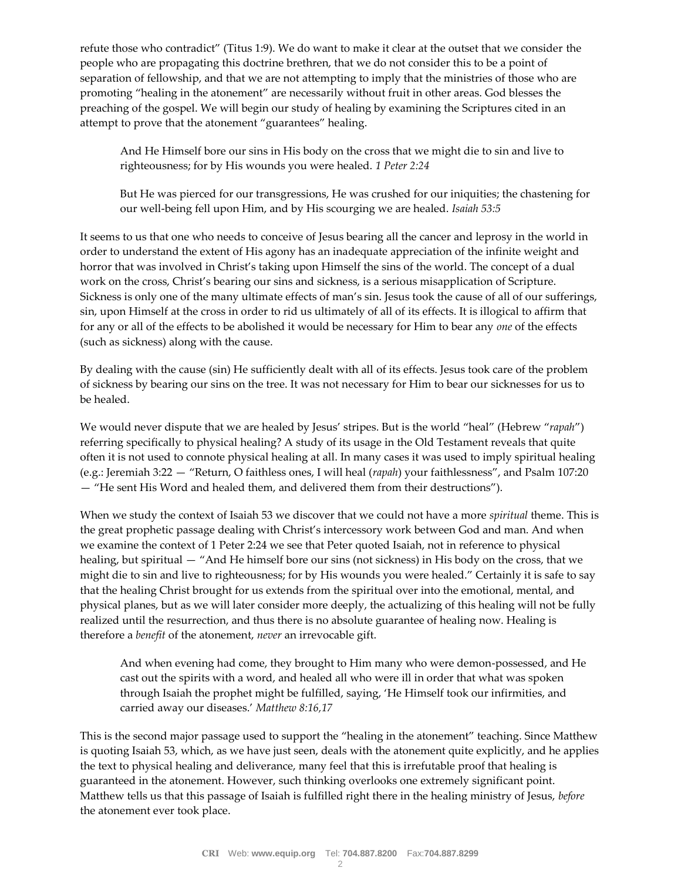refute those who contradict" (Titus 1:9). We do want to make it clear at the outset that we consider the people who are propagating this doctrine brethren, that we do not consider this to be a point of separation of fellowship, and that we are not attempting to imply that the ministries of those who are promoting "healing in the atonement" are necessarily without fruit in other areas. God blesses the preaching of the gospel. We will begin our study of healing by examining the Scriptures cited in an attempt to prove that the atonement "guarantees" healing.

And He Himself bore our sins in His body on the cross that we might die to sin and live to righteousness; for by His wounds you were healed. *1 Peter 2:24* 

But He was pierced for our transgressions, He was crushed for our iniquities; the chastening for our well-being fell upon Him, and by His scourging we are healed. *Isaiah 53:5* 

It seems to us that one who needs to conceive of Jesus bearing all the cancer and leprosy in the world in order to understand the extent of His agony has an inadequate appreciation of the infinite weight and horror that was involved in Christ's taking upon Himself the sins of the world. The concept of a dual work on the cross, Christ's bearing our sins and sickness, is a serious misapplication of Scripture. Sickness is only one of the many ultimate effects of man's sin. Jesus took the cause of all of our sufferings, sin, upon Himself at the cross in order to rid us ultimately of all of its effects. It is illogical to affirm that for any or all of the effects to be abolished it would be necessary for Him to bear any *one* of the effects (such as sickness) along with the cause.

By dealing with the cause (sin) He sufficiently dealt with all of its effects. Jesus took care of the problem of sickness by bearing our sins on the tree. It was not necessary for Him to bear our sicknesses for us to be healed.

We would never dispute that we are healed by Jesus' stripes. But is the world "heal" (Hebrew "*rapah*") referring specifically to physical healing? A study of its usage in the Old Testament reveals that quite often it is not used to connote physical healing at all. In many cases it was used to imply spiritual healing (e.g.: Jeremiah 3:22 — "Return, O faithless ones, I will heal (*rapah*) your faithlessness", and Psalm 107:20 — "He sent His Word and healed them, and delivered them from their destructions").

When we study the context of Isaiah 53 we discover that we could not have a more *spiritual* theme. This is the great prophetic passage dealing with Christ's intercessory work between God and man. And when we examine the context of 1 Peter 2:24 we see that Peter quoted Isaiah, not in reference to physical healing, but spiritual — "And He himself bore our sins (not sickness) in His body on the cross, that we might die to sin and live to righteousness; for by His wounds you were healed." Certainly it is safe to say that the healing Christ brought for us extends from the spiritual over into the emotional, mental, and physical planes, but as we will later consider more deeply, the actualizing of this healing will not be fully realized until the resurrection, and thus there is no absolute guarantee of healing now. Healing is therefore a *benefit* of the atonement, *never* an irrevocable gift.

And when evening had come, they brought to Him many who were demon-possessed, and He cast out the spirits with a word, and healed all who were ill in order that what was spoken through Isaiah the prophet might be fulfilled, saying, 'He Himself took our infirmities, and carried away our diseases.' *Matthew 8:16,17* 

This is the second major passage used to support the "healing in the atonement" teaching. Since Matthew is quoting Isaiah 53, which, as we have just seen, deals with the atonement quite explicitly, and he applies the text to physical healing and deliverance, many feel that this is irrefutable proof that healing is guaranteed in the atonement. However, such thinking overlooks one extremely significant point. Matthew tells us that this passage of Isaiah is fulfilled right there in the healing ministry of Jesus, *before*  the atonement ever took place.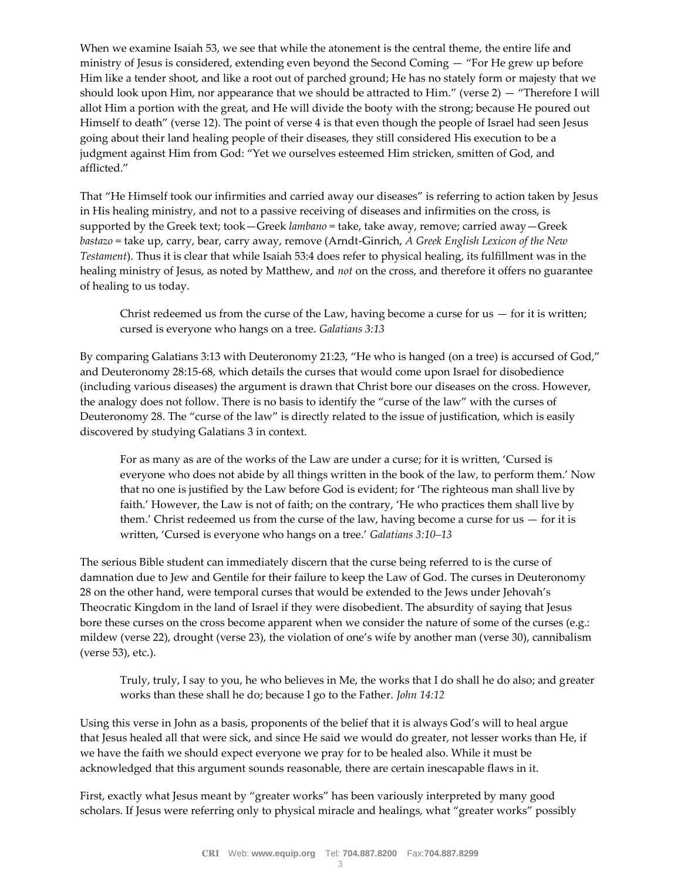When we examine Isaiah 53, we see that while the atonement is the central theme, the entire life and ministry of Jesus is considered, extending even beyond the Second Coming — "For He grew up before Him like a tender shoot, and like a root out of parched ground; He has no stately form or majesty that we should look upon Him, nor appearance that we should be attracted to Him." (verse 2) — "Therefore I will allot Him a portion with the great, and He will divide the booty with the strong; because He poured out Himself to death" (verse 12). The point of verse 4 is that even though the people of Israel had seen Jesus going about their land healing people of their diseases, they still considered His execution to be a judgment against Him from God: "Yet we ourselves esteemed Him stricken, smitten of God, and afflicted."

That "He Himself took our infirmities and carried away our diseases" is referring to action taken by Jesus in His healing ministry, and not to a passive receiving of diseases and infirmities on the cross, is supported by the Greek text; took—Greek *lambano* = take, take away, remove; carried away—Greek *bastazo* = take up, carry, bear, carry away, remove (Arndt-Ginrich, *A Greek English Lexicon of the New Testament*). Thus it is clear that while Isaiah 53:4 does refer to physical healing, its fulfillment was in the healing ministry of Jesus, as noted by Matthew, and *not* on the cross, and therefore it offers no guarantee of healing to us today.

Christ redeemed us from the curse of the Law, having become a curse for us  $-$  for it is written; cursed is everyone who hangs on a tree. *Galatians 3:13* 

By comparing Galatians 3:13 with Deuteronomy 21:23, "He who is hanged (on a tree) is accursed of God," and Deuteronomy 28:15-68, which details the curses that would come upon Israel for disobedience (including various diseases) the argument is drawn that Christ bore our diseases on the cross. However, the analogy does not follow. There is no basis to identify the "curse of the law" with the curses of Deuteronomy 28. The "curse of the law" is directly related to the issue of justification, which is easily discovered by studying Galatians 3 in context.

For as many as are of the works of the Law are under a curse; for it is written, 'Cursed is everyone who does not abide by all things written in the book of the law, to perform them.' Now that no one is justified by the Law before God is evident; for 'The righteous man shall live by faith.' However, the Law is not of faith; on the contrary, 'He who practices them shall live by them.' Christ redeemed us from the curse of the law, having become a curse for us  $-$  for it is written, 'Cursed is everyone who hangs on a tree.' *Galatians 3:10–13* 

The serious Bible student can immediately discern that the curse being referred to is the curse of damnation due to Jew and Gentile for their failure to keep the Law of God. The curses in Deuteronomy 28 on the other hand, were temporal curses that would be extended to the Jews under Jehovah's Theocratic Kingdom in the land of Israel if they were disobedient. The absurdity of saying that Jesus bore these curses on the cross become apparent when we consider the nature of some of the curses (e.g.: mildew (verse 22), drought (verse 23), the violation of one's wife by another man (verse 30), cannibalism (verse 53), etc.).

Truly, truly, I say to you, he who believes in Me, the works that I do shall he do also; and greater works than these shall he do; because I go to the Father. *John 14:12* 

Using this verse in John as a basis, proponents of the belief that it is always God's will to heal argue that Jesus healed all that were sick, and since He said we would do greater, not lesser works than He, if we have the faith we should expect everyone we pray for to be healed also. While it must be acknowledged that this argument sounds reasonable, there are certain inescapable flaws in it.

First, exactly what Jesus meant by "greater works" has been variously interpreted by many good scholars. If Jesus were referring only to physical miracle and healings, what "greater works" possibly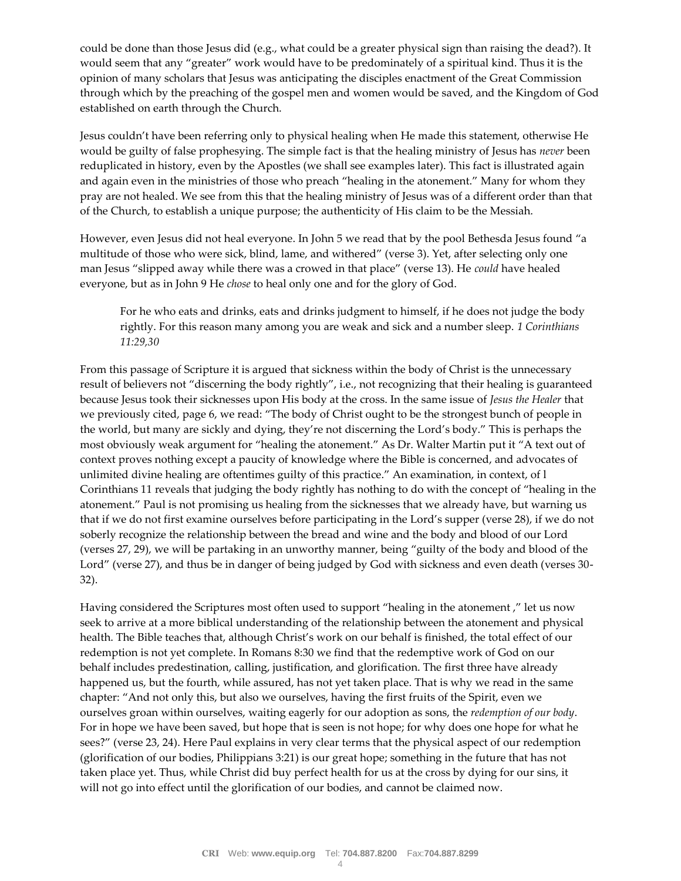could be done than those Jesus did (e.g., what could be a greater physical sign than raising the dead?). It would seem that any "greater" work would have to be predominately of a spiritual kind. Thus it is the opinion of many scholars that Jesus was anticipating the disciples enactment of the Great Commission through which by the preaching of the gospel men and women would be saved, and the Kingdom of God established on earth through the Church.

Jesus couldn't have been referring only to physical healing when He made this statement, otherwise He would be guilty of false prophesying. The simple fact is that the healing ministry of Jesus has *never* been reduplicated in history, even by the Apostles (we shall see examples later). This fact is illustrated again and again even in the ministries of those who preach "healing in the atonement." Many for whom they pray are not healed. We see from this that the healing ministry of Jesus was of a different order than that of the Church, to establish a unique purpose; the authenticity of His claim to be the Messiah.

However, even Jesus did not heal everyone. In John 5 we read that by the pool Bethesda Jesus found "a multitude of those who were sick, blind, lame, and withered" (verse 3). Yet, after selecting only one man Jesus "slipped away while there was a crowed in that place" (verse 13). He *could* have healed everyone, but as in John 9 He *chose* to heal only one and for the glory of God.

For he who eats and drinks, eats and drinks judgment to himself, if he does not judge the body rightly. For this reason many among you are weak and sick and a number sleep. *1 Corinthians 11:29,30* 

From this passage of Scripture it is argued that sickness within the body of Christ is the unnecessary result of believers not "discerning the body rightly", i.e., not recognizing that their healing is guaranteed because Jesus took their sicknesses upon His body at the cross. In the same issue of *Jesus the Healer* that we previously cited, page 6, we read: "The body of Christ ought to be the strongest bunch of people in the world, but many are sickly and dying, they're not discerning the Lord's body." This is perhaps the most obviously weak argument for "healing the atonement." As Dr. Walter Martin put it "A text out of context proves nothing except a paucity of knowledge where the Bible is concerned, and advocates of unlimited divine healing are oftentimes guilty of this practice." An examination, in context, of l Corinthians 11 reveals that judging the body rightly has nothing to do with the concept of "healing in the atonement." Paul is not promising us healing from the sicknesses that we already have, but warning us that if we do not first examine ourselves before participating in the Lord's supper (verse 28), if we do not soberly recognize the relationship between the bread and wine and the body and blood of our Lord (verses 27, 29), we will be partaking in an unworthy manner, being "guilty of the body and blood of the Lord" (verse 27), and thus be in danger of being judged by God with sickness and even death (verses 30- 32).

Having considered the Scriptures most often used to support "healing in the atonement ," let us now seek to arrive at a more biblical understanding of the relationship between the atonement and physical health. The Bible teaches that, although Christ's work on our behalf is finished, the total effect of our redemption is not yet complete. In Romans 8:30 we find that the redemptive work of God on our behalf includes predestination, calling, justification, and glorification. The first three have already happened us, but the fourth, while assured, has not yet taken place. That is why we read in the same chapter: "And not only this, but also we ourselves, having the first fruits of the Spirit, even we ourselves groan within ourselves, waiting eagerly for our adoption as sons, the *redemption of our body*. For in hope we have been saved, but hope that is seen is not hope; for why does one hope for what he sees?" (verse 23, 24). Here Paul explains in very clear terms that the physical aspect of our redemption (glorification of our bodies, Philippians 3:21) is our great hope; something in the future that has not taken place yet. Thus, while Christ did buy perfect health for us at the cross by dying for our sins, it will not go into effect until the glorification of our bodies, and cannot be claimed now.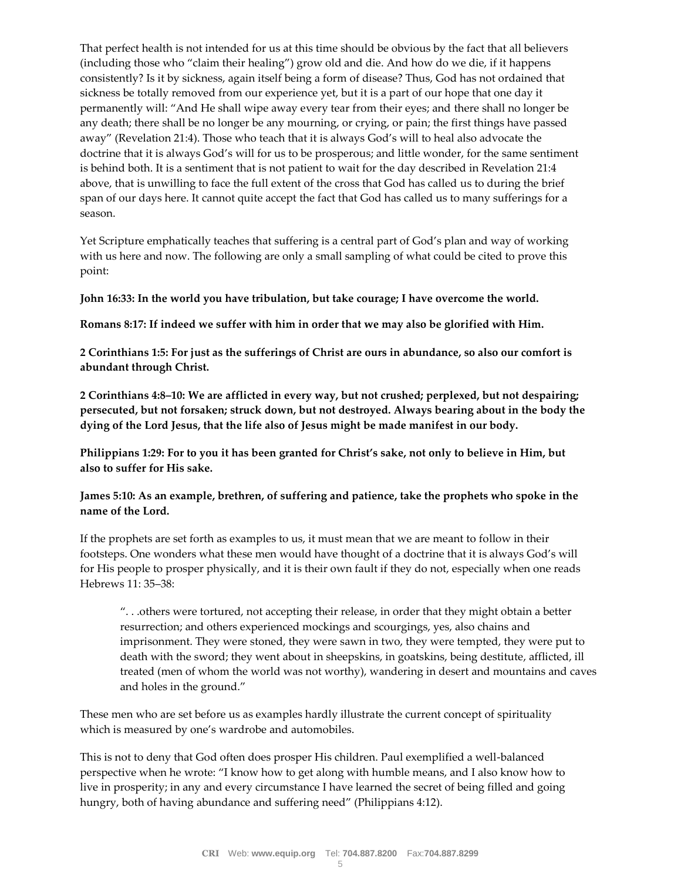That perfect health is not intended for us at this time should be obvious by the fact that all believers (including those who "claim their healing") grow old and die. And how do we die, if it happens consistently? Is it by sickness, again itself being a form of disease? Thus, God has not ordained that sickness be totally removed from our experience yet, but it is a part of our hope that one day it permanently will: "And He shall wipe away every tear from their eyes; and there shall no longer be any death; there shall be no longer be any mourning, or crying, or pain; the first things have passed away" (Revelation 21:4). Those who teach that it is always God's will to heal also advocate the doctrine that it is always God's will for us to be prosperous; and little wonder, for the same sentiment is behind both. It is a sentiment that is not patient to wait for the day described in Revelation 21:4 above, that is unwilling to face the full extent of the cross that God has called us to during the brief span of our days here. It cannot quite accept the fact that God has called us to many sufferings for a season.

Yet Scripture emphatically teaches that suffering is a central part of God's plan and way of working with us here and now. The following are only a small sampling of what could be cited to prove this point:

**John 16:33: In the world you have tribulation, but take courage; I have overcome the world.** 

**Romans 8:17: If indeed we suffer with him in order that we may also be glorified with Him.** 

**2 Corinthians 1:5: For just as the sufferings of Christ are ours in abundance, so also our comfort is abundant through Christ.** 

**2 Corinthians 4:8–10: We are afflicted in every way, but not crushed; perplexed, but not despairing; persecuted, but not forsaken; struck down, but not destroyed. Always bearing about in the body the dying of the Lord Jesus, that the life also of Jesus might be made manifest in our body.** 

**Philippians 1:29: For to you it has been granted for Christ's sake, not only to believe in Him, but also to suffer for His sake.** 

**James 5:10: As an example, brethren, of suffering and patience, take the prophets who spoke in the name of the Lord.** 

If the prophets are set forth as examples to us, it must mean that we are meant to follow in their footsteps. One wonders what these men would have thought of a doctrine that it is always God's will for His people to prosper physically, and it is their own fault if they do not, especially when one reads Hebrews 11: 35–38:

". . .others were tortured, not accepting their release, in order that they might obtain a better resurrection; and others experienced mockings and scourgings, yes, also chains and imprisonment. They were stoned, they were sawn in two, they were tempted, they were put to death with the sword; they went about in sheepskins, in goatskins, being destitute, afflicted, ill treated (men of whom the world was not worthy), wandering in desert and mountains and caves and holes in the ground."

These men who are set before us as examples hardly illustrate the current concept of spirituality which is measured by one's wardrobe and automobiles.

This is not to deny that God often does prosper His children. Paul exemplified a well-balanced perspective when he wrote: "I know how to get along with humble means, and I also know how to live in prosperity; in any and every circumstance I have learned the secret of being filled and going hungry, both of having abundance and suffering need" (Philippians 4:12).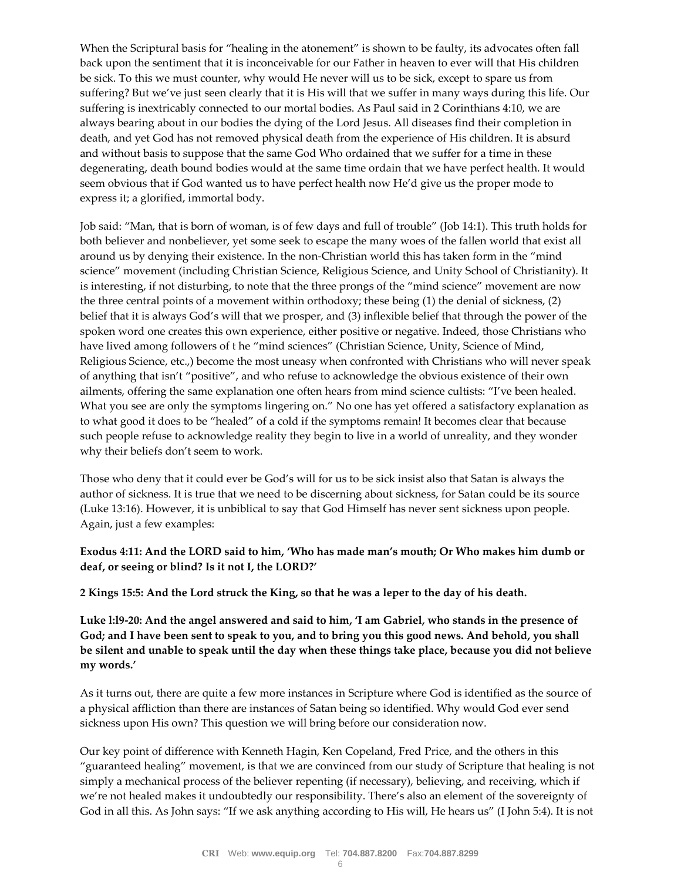When the Scriptural basis for "healing in the atonement" is shown to be faulty, its advocates often fall back upon the sentiment that it is inconceivable for our Father in heaven to ever will that His children be sick. To this we must counter, why would He never will us to be sick, except to spare us from suffering? But we've just seen clearly that it is His will that we suffer in many ways during this life. Our suffering is inextricably connected to our mortal bodies. As Paul said in 2 Corinthians 4:10, we are always bearing about in our bodies the dying of the Lord Jesus. All diseases find their completion in death, and yet God has not removed physical death from the experience of His children. It is absurd and without basis to suppose that the same God Who ordained that we suffer for a time in these degenerating, death bound bodies would at the same time ordain that we have perfect health. It would seem obvious that if God wanted us to have perfect health now He'd give us the proper mode to express it; a glorified, immortal body.

Job said: "Man, that is born of woman, is of few days and full of trouble" (Job 14:1). This truth holds for both believer and nonbeliever, yet some seek to escape the many woes of the fallen world that exist all around us by denying their existence. In the non-Christian world this has taken form in the "mind science" movement (including Christian Science, Religious Science, and Unity School of Christianity). It is interesting, if not disturbing, to note that the three prongs of the "mind science" movement are now the three central points of a movement within orthodoxy; these being (1) the denial of sickness, (2) belief that it is always God's will that we prosper, and (3) inflexible belief that through the power of the spoken word one creates this own experience, either positive or negative. Indeed, those Christians who have lived among followers of the "mind sciences" (Christian Science, Unity, Science of Mind, Religious Science, etc.,) become the most uneasy when confronted with Christians who will never speak of anything that isn't "positive", and who refuse to acknowledge the obvious existence of their own ailments, offering the same explanation one often hears from mind science cultists: "I've been healed. What you see are only the symptoms lingering on." No one has yet offered a satisfactory explanation as to what good it does to be "healed" of a cold if the symptoms remain! It becomes clear that because such people refuse to acknowledge reality they begin to live in a world of unreality, and they wonder why their beliefs don't seem to work.

Those who deny that it could ever be God's will for us to be sick insist also that Satan is always the author of sickness. It is true that we need to be discerning about sickness, for Satan could be its source (Luke 13:16). However, it is unbiblical to say that God Himself has never sent sickness upon people. Again, just a few examples:

### **Exodus 4:11: And the LORD said to him, 'Who has made man's mouth; Or Who makes him dumb or deaf, or seeing or blind? Is it not I, the LORD?'**

**2 Kings 15:5: And the Lord struck the King, so that he was a leper to the day of his death.** 

**Luke l:l9-20: And the angel answered and said to him, 'I am Gabriel, who stands in the presence of God; and I have been sent to speak to you, and to bring you this good news. And behold, you shall be silent and unable to speak until the day when these things take place, because you did not believe my words.'** 

As it turns out, there are quite a few more instances in Scripture where God is identified as the source of a physical affliction than there are instances of Satan being so identified. Why would God ever send sickness upon His own? This question we will bring before our consideration now.

Our key point of difference with Kenneth Hagin, Ken Copeland, Fred Price, and the others in this "guaranteed healing" movement, is that we are convinced from our study of Scripture that healing is not simply a mechanical process of the believer repenting (if necessary), believing, and receiving, which if we're not healed makes it undoubtedly our responsibility. There's also an element of the sovereignty of God in all this. As John says: "If we ask anything according to His will, He hears us" (I John 5:4). It is not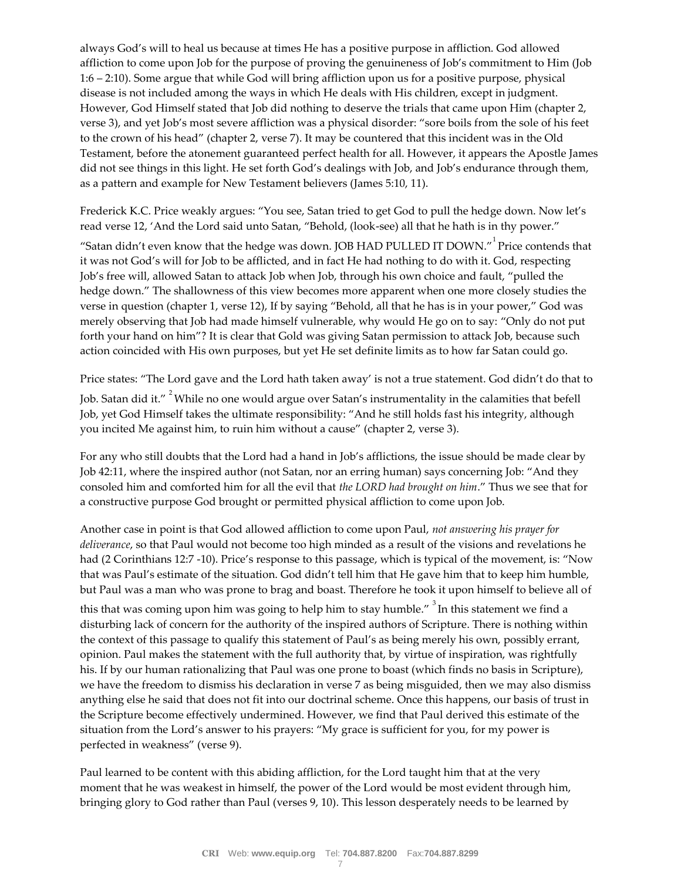always God's will to heal us because at times He has a positive purpose in affliction. God allowed affliction to come upon Job for the purpose of proving the genuineness of Job's commitment to Him (Job 1:6 – 2:10). Some argue that while God will bring affliction upon us for a positive purpose, physical disease is not included among the ways in which He deals with His children, except in judgment. However, God Himself stated that Job did nothing to deserve the trials that came upon Him (chapter 2, verse 3), and yet Job's most severe affliction was a physical disorder: "sore boils from the sole of his feet to the crown of his head" (chapter 2, verse 7). It may be countered that this incident was in the Old Testament, before the atonement guaranteed perfect health for all. However, it appears the Apostle James did not see things in this light. He set forth God's dealings with Job, and Job's endurance through them, as a pattern and example for New Testament believers (James 5:10, 11).

Frederick K.C. Price weakly argues: "You see, Satan tried to get God to pull the hedge down. Now let's read verse 12, 'And the Lord said unto Satan, "Behold, (look-see) all that he hath is in thy power."

"Satan didn't even know that the hedge was down. JOB HAD PULLED IT DOWN." Price contends that it was not God's will for Job to be afflicted, and in fact He had nothing to do with it. God, respecting Job's free will, allowed Satan to attack Job when Job, through his own choice and fault, "pulled the hedge down." The shallowness of this view becomes more apparent when one more closely studies the verse in question (chapter 1, verse 12), If by saying "Behold, all that he has is in your power," God was merely observing that Job had made himself vulnerable, why would He go on to say: "Only do not put forth your hand on him"? It is clear that Gold was giving Satan permission to attack Job, because such action coincided with His own purposes, but yet He set definite limits as to how far Satan could go.

Price states: "The Lord gave and the Lord hath taken away' is not a true statement. God didn't do that to Job. Satan did it." <sup>2</sup>While no one would argue over Satan's instrumentality in the calamities that befell Job, yet God Himself takes the ultimate responsibility: "And he still holds fast his integrity, although you incited Me against him, to ruin him without a cause" (chapter 2, verse 3).

For any who still doubts that the Lord had a hand in Job's afflictions, the issue should be made clear by Job 42:11, where the inspired author (not Satan, nor an erring human) says concerning Job: "And they consoled him and comforted him for all the evil that *the LORD had brought on him*." Thus we see that for a constructive purpose God brought or permitted physical affliction to come upon Job.

Another case in point is that God allowed affliction to come upon Paul, *not answering his prayer for deliverance*, so that Paul would not become too high minded as a result of the visions and revelations he had (2 Corinthians 12:7 -10). Price's response to this passage, which is typical of the movement, is: "Now that was Paul's estimate of the situation. God didn't tell him that He gave him that to keep him humble, but Paul was a man who was prone to brag and boast. Therefore he took it upon himself to believe all of

this that was coming upon him was going to help him to stay humble." <sup>3</sup>In this statement we find a disturbing lack of concern for the authority of the inspired authors of Scripture. There is nothing within the context of this passage to qualify this statement of Paul's as being merely his own, possibly errant, opinion. Paul makes the statement with the full authority that, by virtue of inspiration, was rightfully his. If by our human rationalizing that Paul was one prone to boast (which finds no basis in Scripture), we have the freedom to dismiss his declaration in verse 7 as being misguided, then we may also dismiss anything else he said that does not fit into our doctrinal scheme. Once this happens, our basis of trust in the Scripture become effectively undermined. However, we find that Paul derived this estimate of the situation from the Lord's answer to his prayers: "My grace is sufficient for you, for my power is perfected in weakness" (verse 9).

Paul learned to be content with this abiding affliction, for the Lord taught him that at the very moment that he was weakest in himself, the power of the Lord would be most evident through him, bringing glory to God rather than Paul (verses 9, 10). This lesson desperately needs to be learned by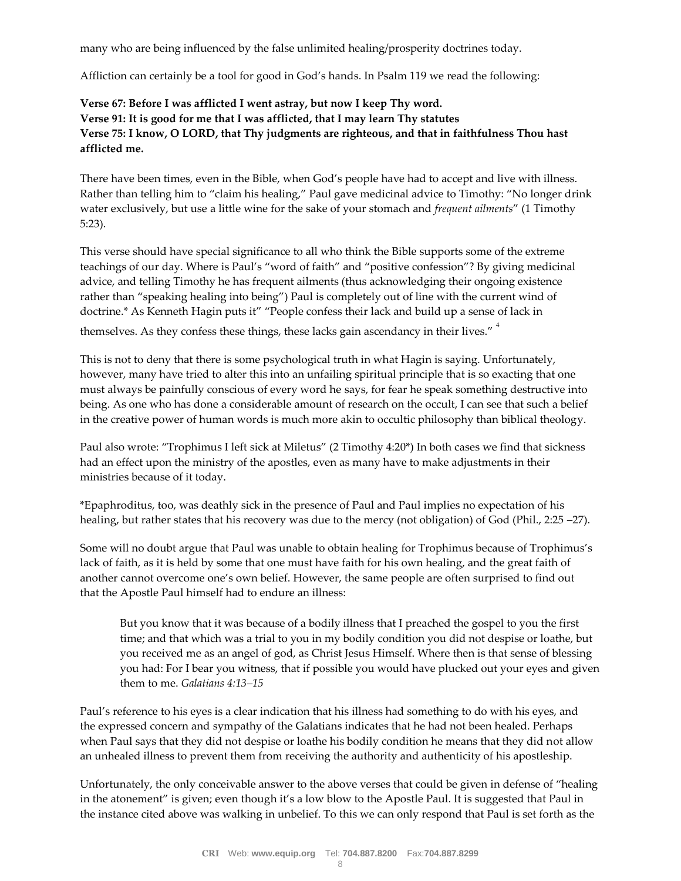many who are being influenced by the false unlimited healing/prosperity doctrines today.

Affliction can certainly be a tool for good in God's hands. In Psalm 119 we read the following:

## **Verse 67: Before I was afflicted I went astray, but now I keep Thy word. Verse 91: It is good for me that I was afflicted, that I may learn Thy statutes Verse 75: I know, O LORD, that Thy judgments are righteous, and that in faithfulness Thou hast afflicted me.**

There have been times, even in the Bible, when God's people have had to accept and live with illness. Rather than telling him to "claim his healing," Paul gave medicinal advice to Timothy: "No longer drink water exclusively, but use a little wine for the sake of your stomach and *frequent ailments*" (1 Timothy 5:23).

This verse should have special significance to all who think the Bible supports some of the extreme teachings of our day. Where is Paul's "word of faith" and "positive confession"? By giving medicinal advice, and telling Timothy he has frequent ailments (thus acknowledging their ongoing existence rather than "speaking healing into being") Paul is completely out of line with the current wind of doctrine.\* As Kenneth Hagin puts it" "People confess their lack and build up a sense of lack in

themselves. As they confess these things, these lacks gain ascendancy in their lives."<sup>4</sup>

This is not to deny that there is some psychological truth in what Hagin is saying. Unfortunately, however, many have tried to alter this into an unfailing spiritual principle that is so exacting that one must always be painfully conscious of every word he says, for fear he speak something destructive into being. As one who has done a considerable amount of research on the occult, I can see that such a belief in the creative power of human words is much more akin to occultic philosophy than biblical theology.

Paul also wrote: "Trophimus I left sick at Miletus" (2 Timothy 4:20\*) In both cases we find that sickness had an effect upon the ministry of the apostles, even as many have to make adjustments in their ministries because of it today.

\*Epaphroditus, too, was deathly sick in the presence of Paul and Paul implies no expectation of his healing, but rather states that his recovery was due to the mercy (not obligation) of God (Phil., 2:25 –27).

Some will no doubt argue that Paul was unable to obtain healing for Trophimus because of Trophimus's lack of faith, as it is held by some that one must have faith for his own healing, and the great faith of another cannot overcome one's own belief. However, the same people are often surprised to find out that the Apostle Paul himself had to endure an illness:

But you know that it was because of a bodily illness that I preached the gospel to you the first time; and that which was a trial to you in my bodily condition you did not despise or loathe, but you received me as an angel of god, as Christ Jesus Himself. Where then is that sense of blessing you had: For I bear you witness, that if possible you would have plucked out your eyes and given them to me. *Galatians 4:13–15* 

Paul's reference to his eyes is a clear indication that his illness had something to do with his eyes, and the expressed concern and sympathy of the Galatians indicates that he had not been healed. Perhaps when Paul says that they did not despise or loathe his bodily condition he means that they did not allow an unhealed illness to prevent them from receiving the authority and authenticity of his apostleship.

Unfortunately, the only conceivable answer to the above verses that could be given in defense of "healing in the atonement" is given; even though it's a low blow to the Apostle Paul. It is suggested that Paul in the instance cited above was walking in unbelief. To this we can only respond that Paul is set forth as the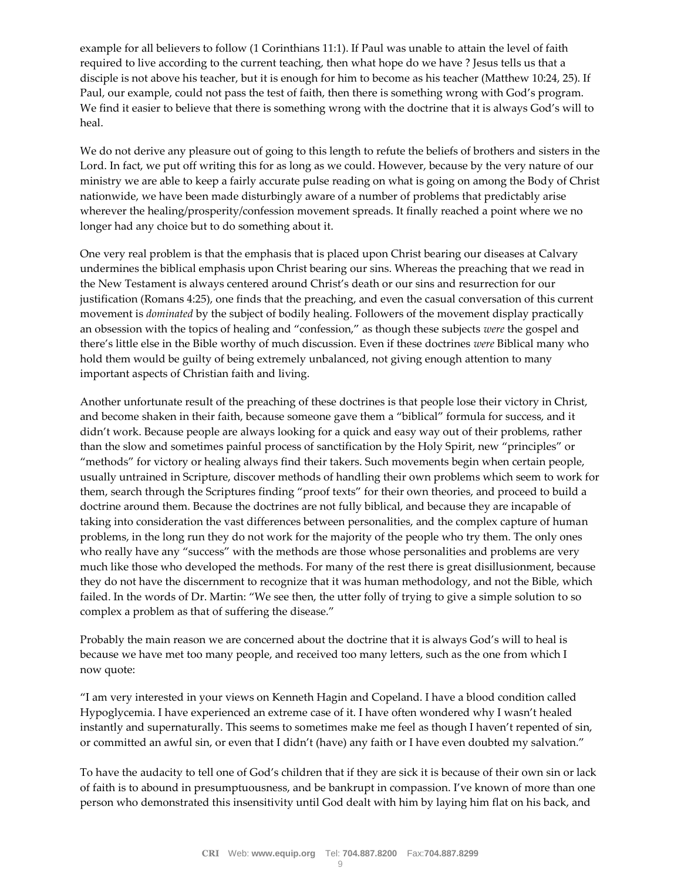example for all believers to follow (1 Corinthians 11:1). If Paul was unable to attain the level of faith required to live according to the current teaching, then what hope do we have ? Jesus tells us that a disciple is not above his teacher, but it is enough for him to become as his teacher (Matthew 10:24, 25). If Paul, our example, could not pass the test of faith, then there is something wrong with God's program. We find it easier to believe that there is something wrong with the doctrine that it is always God's will to heal.

We do not derive any pleasure out of going to this length to refute the beliefs of brothers and sisters in the Lord. In fact, we put off writing this for as long as we could. However, because by the very nature of our ministry we are able to keep a fairly accurate pulse reading on what is going on among the Body of Christ nationwide, we have been made disturbingly aware of a number of problems that predictably arise wherever the healing/prosperity/confession movement spreads. It finally reached a point where we no longer had any choice but to do something about it.

One very real problem is that the emphasis that is placed upon Christ bearing our diseases at Calvary undermines the biblical emphasis upon Christ bearing our sins. Whereas the preaching that we read in the New Testament is always centered around Christ's death or our sins and resurrection for our justification (Romans 4:25), one finds that the preaching, and even the casual conversation of this current movement is *dominated* by the subject of bodily healing. Followers of the movement display practically an obsession with the topics of healing and "confession," as though these subjects *were* the gospel and there's little else in the Bible worthy of much discussion. Even if these doctrines *were* Biblical many who hold them would be guilty of being extremely unbalanced, not giving enough attention to many important aspects of Christian faith and living.

Another unfortunate result of the preaching of these doctrines is that people lose their victory in Christ, and become shaken in their faith, because someone gave them a "biblical" formula for success, and it didn't work. Because people are always looking for a quick and easy way out of their problems, rather than the slow and sometimes painful process of sanctification by the Holy Spirit, new "principles" or "methods" for victory or healing always find their takers. Such movements begin when certain people, usually untrained in Scripture, discover methods of handling their own problems which seem to work for them, search through the Scriptures finding "proof texts" for their own theories, and proceed to build a doctrine around them. Because the doctrines are not fully biblical, and because they are incapable of taking into consideration the vast differences between personalities, and the complex capture of human problems, in the long run they do not work for the majority of the people who try them. The only ones who really have any "success" with the methods are those whose personalities and problems are very much like those who developed the methods. For many of the rest there is great disillusionment, because they do not have the discernment to recognize that it was human methodology, and not the Bible, which failed. In the words of Dr. Martin: "We see then, the utter folly of trying to give a simple solution to so complex a problem as that of suffering the disease."

Probably the main reason we are concerned about the doctrine that it is always God's will to heal is because we have met too many people, and received too many letters, such as the one from which I now quote:

"I am very interested in your views on Kenneth Hagin and Copeland. I have a blood condition called Hypoglycemia. I have experienced an extreme case of it. I have often wondered why I wasn't healed instantly and supernaturally. This seems to sometimes make me feel as though I haven't repented of sin, or committed an awful sin, or even that I didn't (have) any faith or I have even doubted my salvation."

To have the audacity to tell one of God's children that if they are sick it is because of their own sin or lack of faith is to abound in presumptuousness, and be bankrupt in compassion. I've known of more than one person who demonstrated this insensitivity until God dealt with him by laying him flat on his back, and